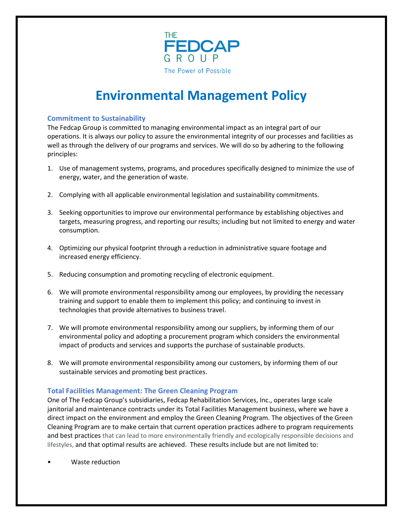

# **Environmental Management Policy**

### **Commitment to Sustainability**

The Fedcap Group is committed to managing environmental impact as an integral part of our operations. It is always our policy to assure the environmental integrity of our processes and facilities as well as through the delivery of our programs and services. We will do so by adhering to the following principles:

- 1. Use of management systems, programs, and procedures specifically designed to minimize the use of energy, water, and the generation of waste.
- 2. Complying with all applicable environmental legislation and sustainability commitments.
- 3. Seeking opportunities to improve our environmental performance by establishing objectives and targets, measuring progress, and reporting our results; including but not limited to energy and water consumption.
- 4. Optimizing our physical footprint through a reduction in administrative square footage and increased energy efficiency.
- 5. Reducing consumption and promoting recycling of electronic equipment.
- 6. We will promote environmental responsibility among our employees, by providing the necessary training and support to enable them to implement this policy; and continuing to invest in technologies that provide alternatives to business travel.
- 7. We will promote environmental responsibility among our suppliers, by informing them of our environmental policy and adopting a procurement program which considers the environmental impact of products and services and supports the purchase of sustainable products.
- 8. We will promote environmental responsibility among our customers, by informing them of our sustainable services and promoting best practices.

## **Total Facilities Management: The Green Cleaning Program**

One of The Fedcap Group's subsidiaries, Fedcap Rehabilitation Services, Inc., operates large scale janitorial and maintenance contracts under its Total Facilities Management business, where we have a direct impact on the environment and employ the Green Cleaning Program. The objectives of the Green Cleaning Program are to make certain that current operation practices adhere to program requirements and best practices that can lead to more environmentally friendly and ecologically responsible decisions and lifestyles, and that optimal results are achieved. These results include but are not limited to:

• Waste reduction